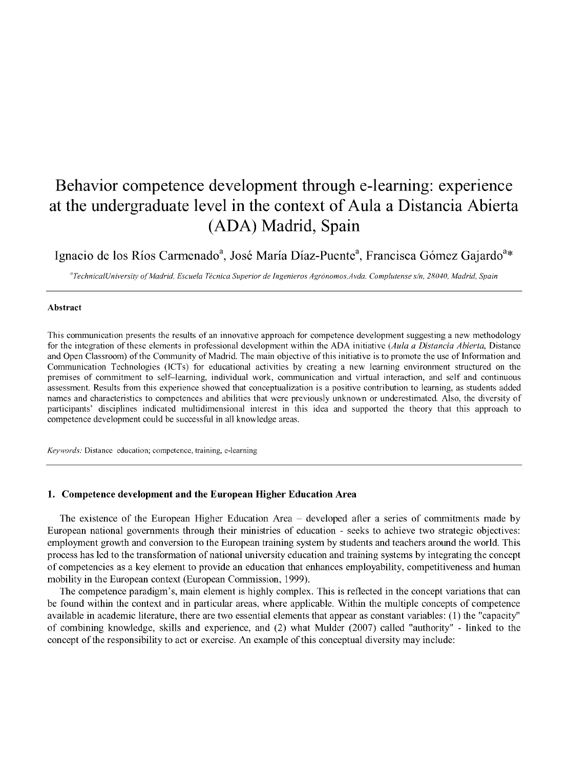# Behavior competence development through e-learning: experience at the undergraduate level in the context of Aula a Distancia Abierta (ADA) Madrid, Spain

Ignacio de los Ríos Carmenado<sup>a</sup>, José María Díaz-Puente<sup>a</sup>, Francisca Gómez Gajardo<sup>a</sup>\*

*a TechnicalUniversity of Madrid, Escuela Técnica Superior de Ingenieros Agrónomos, Avda. Complutense s/n, 28040, Madrid, Spain* 

## Abstract

This communication presents the results of an innovative approach for competence development suggesting a new methodology for the integration of these elements in professional development within the ADA initiative *(Aula a Distancia Abierta,* Distance and Open Classroom) of the Community of Madrid. The main objective of this initiative is to promote the use of Information and Communication Technologies (ICTs) for educational activities by creating a new learning environment structured on the premises of commitment to self-learning, individual work, communication and virtual interaction, and self and continuous assessment. Results from this experience showed that conceptualization is a positive contribution to learning, as students added names and characteristics to competences and abilities that were previously unknown or underestimated. Also, the diversity of participants' disciplines indicated multidimensional interest in this idea and supported the theory that this approach to competence development could be successful in all knowledge areas.

*Keywords:* Distance education; competence, training, e-learning

# **1. Competence development and the European Higher Education Area**

The existence of the European Higher Education Area - developed after a series of commitments made by European national governments through their ministries of education - seeks to achieve two strategic objectives: employment growth and conversion to the European training system by students and teachers around the world. This process has led to the transformation of national university education and training systems by integrating the concept of competencies as a key element to provide an education that enhances employability, competitiveness and human mobility in the European context (European Commission, 1999).

The competence paradigm's, main element is highly complex. This is reflected in the concept variations that can be found within the context and in particular areas, where applicable. Within the multiple concepts of competence available in academic literature, there are two essential elements that appear as constant variables: (1) the "capacity" of combining knowledge, skills and experience, and (2) what Mulder (2007) called "authority" - linked to the concept of the responsibility to act or exercise. An example of this conceptual diversity may include: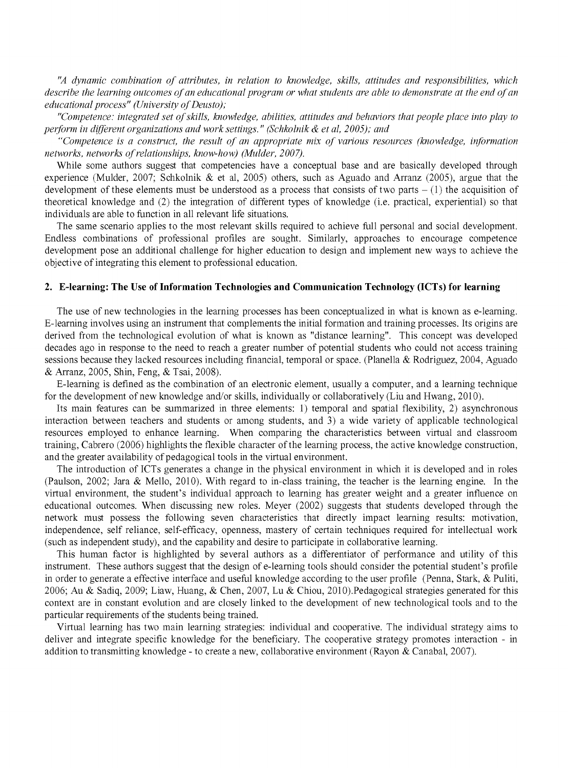*"A dynamic combination of attributes, in relation to knowledge, skills, attitudes and responsibilities, which describe the learning outcomes of an educational program or what students are able to demonstrate at the end of an*  educational process" (University of Deusto);

*"Competence: integrated set of skills, knowledge, abilities, attitudes and behaviors that people place into play to perform in different organizations and work settings." (Schkolnik & et al, 2005); and* 

*"Competence is a construct, the result of an appropriate mix of various resources (knowledge, information networks, networks of relationships, know-how) (Mulder, 2007).* 

While some authors suggest that competencies have a conceptual base and are basically developed through experience (Mulder, 2007; Schkolnik & et al, 2005) others, such as Aguado and Arranz (2005), argue that the development of these elements must be understood as a process that consists of two parts  $- (1)$  the acquisition of theoretical knowledge and (2) the integration of different types of knowledge (i.e. practical, experiential) so that individuals are able to function in all relevant life situations.

The same scenario applies to the most relevant skills required to achieve full personal and social development. Endless combinations of professional profiles are sought. Similarly, approaches to encourage competence development pose an additional challenge for higher education to design and implement new ways to achieve the objective of integrating this element to professional education.

## **2. E-learning: The Use of Information Technologies and Communication Technology (ICTs) for learning**

The use of new technologies in the learning processes has been conceptualized in what is known as e-learning. E-learning involves using an instrument that complements the initial formation and training processes. Its origins are derived from the technological evolution of what is known as "distance learning". This concept was developed decades ago in response to the need to reach a greater number of potential students who could not access training sessions because they lacked resources including financial, temporal or space. (Planella & Rodriguez, 2004, Aguado & Arranz, 2005, Shin, Feng, & Tsai, 2008).

E-learning is defined as the combination of an electronic element, usually a computer, and a learning technique for the development of new knowledge and/or skills, individually or collaboratively (Liu and Hwang, 2010).

Its main features can be summarized in three elements: 1) temporal and spatial flexibility, 2) asynchronous interaction between teachers and students or among students, and 3) a wide variety of applicable technological resources employed to enhance learning. When comparing the characteristics between virtual and classroom training, Cabrero (2006) highlights the flexible character of the learning process, the active knowledge construction, and the greater availability of pedagogical tools in the virtual environment.

The introduction of ICTs generates a change in the physical environment in which it is developed and in roles (Paulson, 2002; Jara & Mello, 2010). With regard to in-class training, the teacher is the learning engine. In the virtual environment, the student's individual approach to learning has greater weight and a greater influence on educational outcomes. When discussing new roles. Meyer (2002) suggests that students developed through the network must possess the following seven characteristics that directly impact learning results: motivation, independence, self reliance, self-efficacy, openness, mastery of certain techniques required for intellectual work (such as independent study), and the capability and desire to participate in collaborative learning.

This human factor is highlighted by several authors as a differentiator of performance and utility of this instrument. These authors suggest that the design of e-learning tools should consider the potential student's profile in order to generate a effective interface and useful knowledge according to the user profile (Penna, Stark, & Puliti, 2006; Au & Sadiq, 2009; Liaw, Huang, & Chen, 2007, Lu & Chiou, 2010).Pedagogical strategies generated for this context are in constant evolution and are closely linked to the development of new technological tools and to the particular requirements of the students being trained.

Virtual learning has two main learning strategies: individual and cooperative. The individual strategy aims to deliver and integrate specific knowledge for the beneficiary. The cooperative strategy promotes interaction - in addition to transmitting knowledge - to create a new, collaborative environment (Rayon & Canabal, 2007).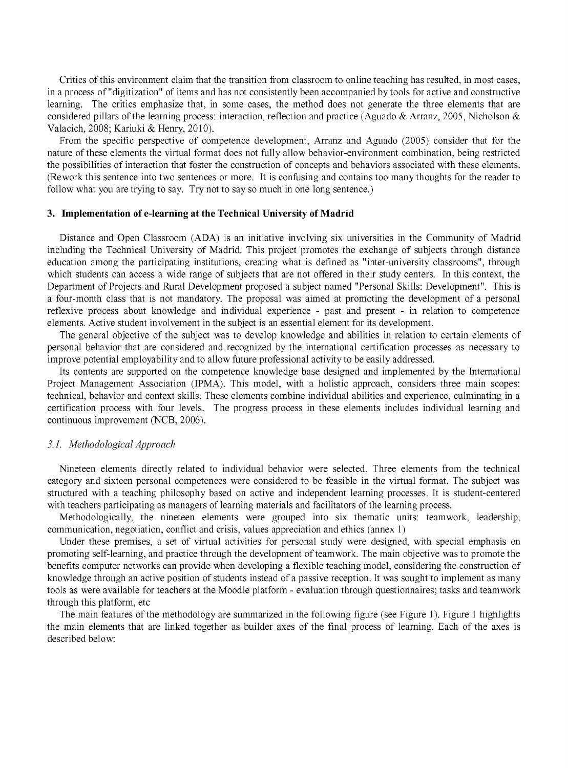Critics of this environment claim that the transition from classroom to online teaching has resulted, in most cases, in a process of "digitization" of items and has not consistently been accompanied by tools for active and constructive learning. The critics emphasize that, in some cases, the method does not generate the three elements that are considered pillars of the learning process: interaction, reflection and practice (Aguado & Arranz, 2005, Nicholson & Valacich, 2008; Kariuki & Henry, 2010).

From the specific perspective of competence development, Arranz and Aguado (2005) consider that for the nature of these elements the virtual format does not fully allow behavior-environment combination, being restricted the possibilities of interaction that foster the construction of concepts and behaviors associated with these elements. (Rework this sentence into two sentences or more. It is confusing and contains too many thoughts for the reader to follow what you are trying to say. Try not to say so much in one long sentence.)

## **3. Implementation of e-learning at the Technical University of Madrid**

Distance and Open Classroom (ADA) is an initiative involving six universities in the Community of Madrid including the Technical University of Madrid. This project promotes the exchange of subjects through distance education among the participating institutions, creating what is defined as "inter-university classrooms", through which students can access a wide range of subjects that are not offered in their study centers. In this context, the Department of Projects and Rural Development proposed a subject named "Personal Skills: Development". This is a four-month class that is not mandatory. The proposal was aimed at promoting the development of a personal reflexive process about knowledge and individual experience - past and present - in relation to competence elements. Active student involvement in the subject is an essential element for its development.

The general objective of the subject was to develop knowledge and abilities in relation to certain elements of personal behavior that are considered and recognized by the international certification processes as necessary to improve potential employability and to allow future professional activity to be easily addressed.

Its contents are supported on the competence knowledge base designed and implemented by the International Project Management Association (IPMA). This model, with a holistic approach, considers three main scopes: technical, behavior and context skills. These elements combine individual abilities and experience, culminating in a certification process with four levels. The progress process in these elements includes individual learning and continuous improvement (NCB, 2006).

## *3.1. Methodological Approach*

Nineteen elements directly related to individual behavior were selected. Three elements from the technical category and sixteen personal competences were considered to be feasible in the virtual format. The subject was structured with a teaching philosophy based on active and independent learning processes. It is student-centered with teachers participating as managers of learning materials and facilitators of the learning process.

Methodologically, the nineteen elements were grouped into six thematic units: teamwork, leadership, communication, negotiation, conflict and crisis, values appreciation and ethics (annex 1)

Under these premises, a set of virtual activities for personal study were designed, with special emphasis on promoting self-learning, and practice through the development of teamwork. The main objective was to promote the benefits computer networks can provide when developing a flexible teaching model, considering the construction of knowledge through an active position of students instead of a passive reception. It was sought to implement as many tools as were available for teachers at the Moodle platform - evaluation through questionnaires; tasks and teamwork through this platform, etc

The main features of the methodology are summarized in the following figure (see Figure 1). Figure 1 highlights the main elements that are linked together as builder axes of the final process of learning. Each of the axes is described below: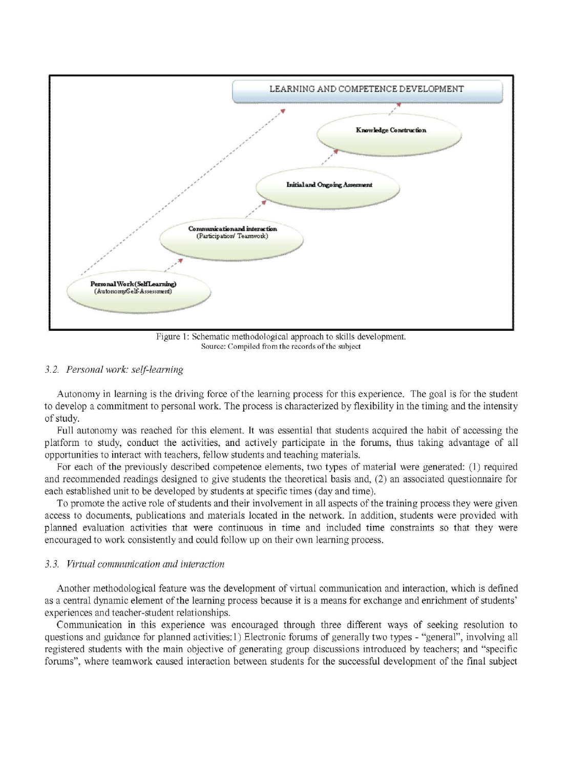

Figure 1: Schematic methodological approach to skills development. Source: Compiled from the records of the subject

## *3.2. Personal work: self-learning*

Autonomy in learning is the driving force of the learning process for this experience. The goal is for the student to develop a commitment to personal work. The process is characterized by flexibility in the timing and the intensity of study.

Full autonomy was reached for this element. It was essential that students acquired the habit of accessing the platform to study, conduct the activities, and actively participate in the forums, thus taking advantage of all opportunities to interact with teachers, fellow students and teaching materials.

For each of the previously described competence elements, two types of material were generated: (1) required and recommended readings designed to give students the theoretical basis and, (2) an associated questionnaire for each established unit to be developed by students at specific times (day and time).

To promote the active role of students and their involvement in all aspects of the training process they were given access to documents, publications and materials located in the network. In addition, students were provided with planned evaluation activities that were continuous in time and included time constraints so that they were encouraged to work consistently and could follow up on their own learning process.

## *3.3. Virtual communication and interaction*

Another methodological feature was the development of virtual communication and interaction, which is defined as a central dynamic element of the learning process because it is a means for exchange and enrichment of students' experiences and teacher-student relationships.

Communication in this experience was encouraged through three different ways of seeking resolution to questions and guidance for planned activities: 1) Electronic forums of generally two types - "general", involving all registered students with the main objective of generating group discussions introduced by teachers; and "specific forums", where teamwork caused interaction between students for the successful development of the final subject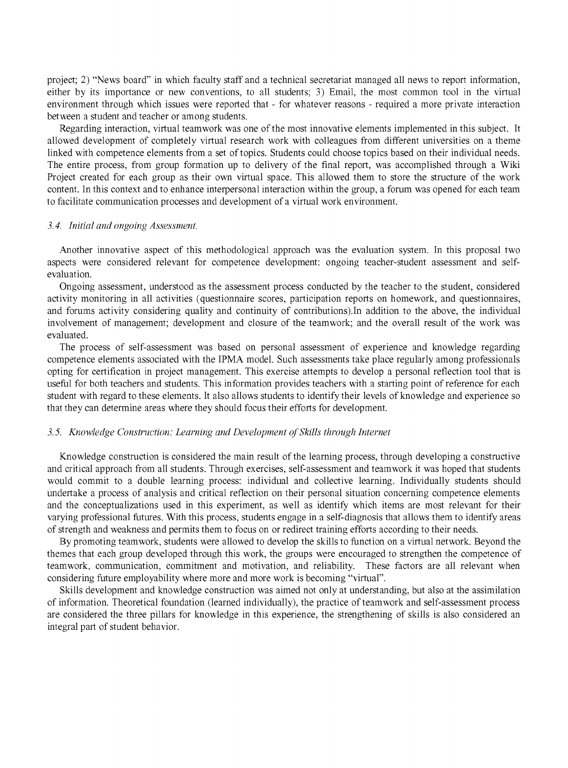project; 2) "News board" in which faculty staff and a technical secretariat managed all news to report information, either by its importance or new conventions, to all students; 3) Email, the most common tool in the virtual environment through which issues were reported that - for whatever reasons - required a more private interaction between a student and teacher or among students.

Regarding interaction, virtual teamwork was one of the most innovative elements implemented in this subject. It allowed development of completely virtual research work with colleagues from different universities on a theme linked with competence elements from a set of topics. Students could choose topics based on their individual needs. The entire process, from group formation up to delivery of the final report, was accomplished through a Wiki Project created for each group as their own virtual space. This allowed them to store the structure of the work content. In this context and to enhance interpersonal interaction within the group, a forum was opened for each team to facilitate communication processes and development of a virtual work environment.

#### *3.4. Initial and ongoing Assessment.*

Another innovative aspect of this methodological approach was the evaluation system. In this proposal two aspects were considered relevant for competence development: ongoing teacher-student assessment and selfevaluation.

Ongoing assessment, understood as the assessment process conducted by the teacher to the student, considered activity monitoring in all activities (questionnaire scores, participation reports on homework, and questionnaires, and forums activity considering quality and continuity of contributions).In addition to the above, the individual involvement of management; development and closure of the teamwork; and the overall result of the work was evaluated.

The process of self-assessment was based on personal assessment of experience and knowledge regarding competence elements associated with the IPMA model. Such assessments take place regularly among professionals opting for certification in project management. This exercise attempts to develop a personal reflection tool that is useful for both teachers and students. This information provides teachers with a starting point of reference for each student with regard to these elements. It also allows students to identify their levels of knowledge and experience so that they can determine areas where they should focus their efforts for development.

## *3.5. Knowledge Construction: Learning and Development of Skills through Internet*

Knowledge construction is considered the main result of the learning process, through developing a constructive and critical approach from all students. Through exercises, self-assessment and teamwork it was hoped that students would commit to a double learning process: individual and collective learning. Individually students should undertake a process of analysis and critical reflection on their personal situation concerning competence elements and the conceptualizations used in this experiment, as well as identify which items are most relevant for their varying professional futures. With this process, students engage in a self-diagnosis that allows them to identify areas of strength and weakness and permits them to focus on or redirect training efforts according to their needs.

By promoting teamwork, students were allowed to develop the skills to function on a virtual network. Beyond the themes that each group developed through this work, the groups were encouraged to strengthen the competence of teamwork, communication, commitment and motivation, and reliability. These factors are all relevant when considering future employability where more and more work is becoming "virtual".

Skills development and knowledge construction was aimed not only at understanding, but also at the assimilation of information. Theoretical foundation (learned individually), the practice of teamwork and self-assessment process are considered the three pillars for knowledge in this experience, the strengthening of skills is also considered an integral part of student behavior.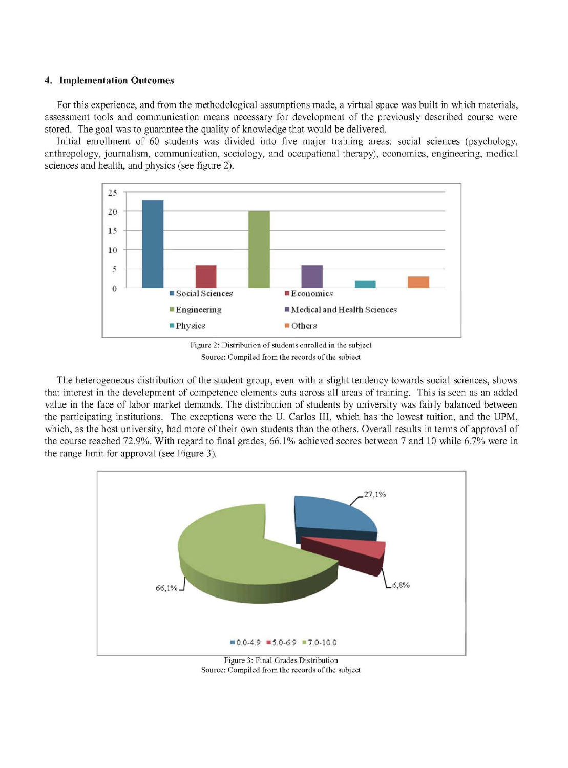## 4. Implementation Outcomes

For this experience, and from the methodological assumptions made, a virtual space was built in which materials, assessment tools and communication means necessary for development of the previously described course were stored. The goal was to guarantee the quality of knowledge that would be delivered.

Initial enrollment of 60 students was divided into five major training areas: social sciences (psychology, anthropology, journalism, communication, sociology, and occupational therapy), economics, engineering, medical sciences and health, and physics (see figure 2).





The heterogeneous distribution of the student group, even with a slight tendency towards social sciences, shows that interest in the development of competence elements cuts across all areas of training. This is seen as an added value in the face of labor market demands. The distribution of students by university was fairly balanced between the participating institutions. The exceptions were the U. Carlos III, which has the lowest tuition, and the UPM, which, as the host university, had more of their own students than the others. Overall results in terms of approval of the course reached 72.9%. With regard to final grades, 66.1% achieved scores between 7 and 10 while 6.7% were in the range limit for approval (see Figure 3).



Figure 3: Final Grades Distribution Source: Compiled from the records of the subject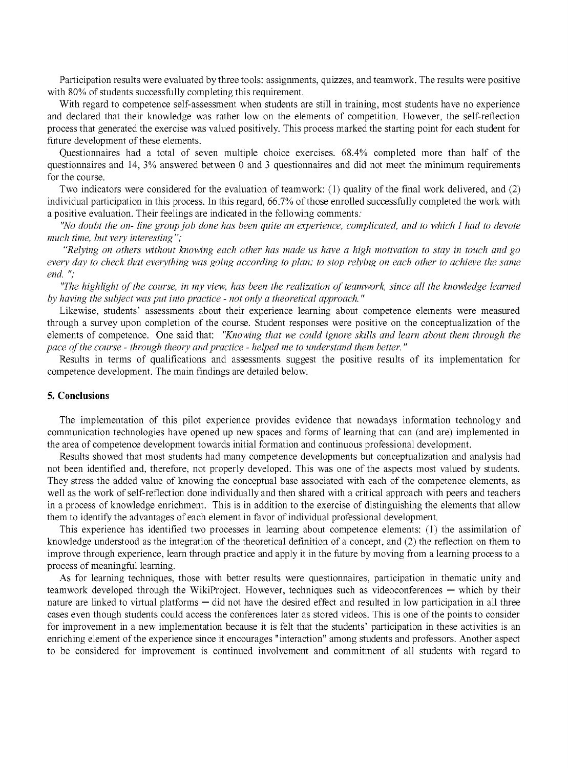Participation results were evaluated by three tools: assignments, quizzes, and teamwork. The results were positive with 80% of students successfully completing this requirement.

With regard to competence self-assessment when students are still in training, most students have no experience and declared that their knowledge was rather low on the elements of competition. However, the self-reflection process that generated the exercise was valued positively. This process marked the starting point for each student for future development of these elements.

Questionnaires had a total of seven multiple choice exercises. 68.4% completed more than half of the questionnaires and 14, 3% answered between 0 and 3 questionnaires and did not meet the minimum requirements for the course.

Two indicators were considered for the evaluation of teamwork: (1) quality of the final work delivered, and (2) individual participation in this process. In this regard, 66.7% of those enrolled successfully completed the work with a positive evaluation. Their feelings are indicated in the following comments:

*"No doubt the on- line group job done has been quite an experience, complicated, and to which I had to devote much time, but very interesting ";* 

*"Relying on others without knowing each other has made us have a high motivation to stay in touch and go every day to check that everything was going according to plan; to stop relying on each other to achieve the same end. ";* 

*"The highlight of the course, in my view, has been the realization of teamwork, since all the knowledge learned by having the subject was put into practice - not only a theoretical approach."* 

Likewise, students' assessments about their experience learning about competence elements were measured through a survey upon completion of the course. Student responses were positive on the conceptualization of the elements of competence. One said that: *"Knowing that we could ignore skills and learn about them through the pace of the course - through theory and practice - helped me to understand them better."* 

Results in terms of qualifications and assessments suggest the positive results of its implementation for competence development. The main findings are detailed below.

# **5. Conclusions**

The implementation of this pilot experience provides evidence that nowadays information technology and communication technologies have opened up new spaces and forms of learning that can (and are) implemented in the area of competence development towards initial formation and continuous professional development.

Results showed that most students had many competence developments but conceptualization and analysis had not been identified and, therefore, not properly developed. This was one of the aspects most valued by students. They stress the added value of knowing the conceptual base associated with each of the competence elements, as well as the work of self-reflection done individually and then shared with a critical approach with peers and teachers in a process of knowledge enrichment. This is in addition to the exercise of distinguishing the elements that allow them to identify the advantages of each element in favor of individual professional development.

This experience has identified two processes in learning about competence elements: (1) the assimilation of knowledge understood as the integration of the theoretical definition of a concept, and (2) the reflection on them to improve through experience, learn through practice and apply it in the future by moving from a learning process to a process of meaningful learning.

As for learning techniques, those with better results were questionnaires, participation in thematic unity and teamwork developed through the WikiProject. However, techniques such as videoconferences — which by their nature are linked to virtual platforms — did not have the desired effect and resulted in low participation in all three cases even though students could access the conferences later as stored videos. This is one of the points to consider for improvement in a new implementation because it is felt that the students' participation in these activities is an enriching element of the experience since it encourages "interaction" among students and professors. Another aspect to be considered for improvement is continued involvement and commitment of all students with regard to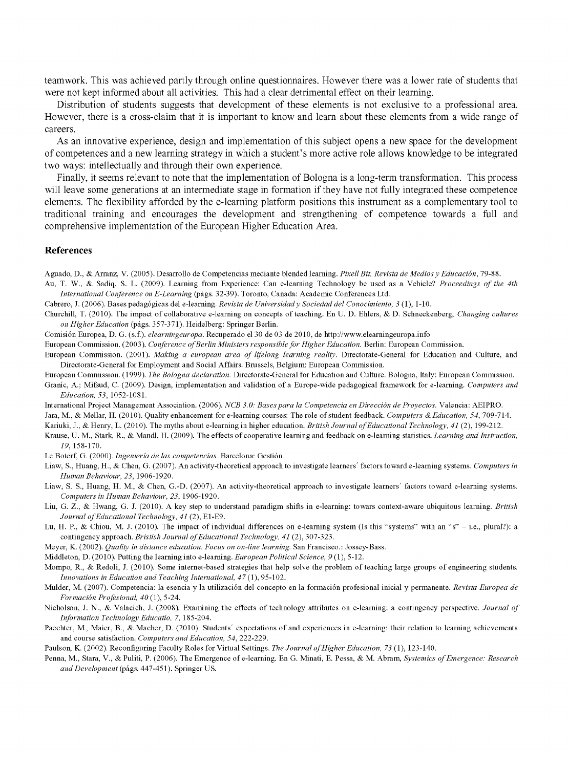teamwork. This was achieved partly through online questionnaires. However there was a lower rate of students that were not kept informed about all activities. This had a clear detrimental effect on their learning.

Distribution of students suggests that development of these elements is not exclusive to a professional area. However, there is a cross-claim that it is important to know and learn about these elements from a wide range of careers.

As an innovative experience, design and implementation of this subject opens a new space for the development of competences and a new learning strategy in which a student's more active role allows knowledge to be integrated two ways: intellectually and through their own experience.

Finally, it seems relevant to note that the implementation of Bologna is a long-term transformation. This process will leave some generations at an intermediate stage in formation if they have not fully integrated these competence elements. The flexibility afforded by the e-learning platform positions this instrument as a complementary tool to traditional training and encourages the development and strengthening of competence towards a full and comprehensive implementation of the European Higher Education Area.

#### **References**

Aguado, D., & Arranz, V. (2005). Desarrollo de Competencias mediante Hended learning. *Pixell Bit, Revista de Medios y Educación,* 79-88.

Au, T. W., & Sadiq, S. L. (2009). Learning from Experience: Can e-learning Technology be used as a Vehicle? *Proceedings of the 4th International Conference on E-Learning* (págs. 32-39). Toronto, Canada: Academic Conferences Ltd.

Cabrero, J. (2006). Bases pedagógicas del e-learning. *Revista de Universidad y Sociedad del Conocimiento,* 3(1), 1-10.

Churchill, T. (2010). The impact of collaborative e-learning on concepts of teaching. En U. D. Ehlers, & D. Schneckenberg, *Changing cultures on Higher Education* (págs. 357-371). Heidelberg: Springer Berlin.

Comisión Europea, D. G. (s.f). *elearningeuropa.* Recuperado el 30 de 03 de 2010, de <http://www.elearningeuropa.info>

European Commission. (2003). *Conference of Berlin Ministers responsible for Higher Education.* Berlin: European Commission.

European Commission. (2001). *Making a european area of lifelong learning reality.* Directorate-General for Education and Culture, and Directorate-General for Employment and Social Affairs. Brussels, Belgium: European Commission.

European Commission. (1999). *The Bologna declaration.* Directorate-General for Education and Culture. Bologna, Italy: European Commission.

Granic, A.; Mifsud, C. (2009). Design, implementation and validation of a Europe-wide pedagogical framework for e-learning. *Computers and Education, 53,* 1052-1081.

International Project Management Association. (2006). *NCB 3.0: Bases para la Competencia en Dirección de Proyectos.* Valencia: AEIPRO.

Jara, M., & Mellar, H. (2010). Quality enhancement for e-learning courses: The role of student feedback. *Computers & Education, 54,* 709-714.

Kariuki, J., & Henry, L. (2010). The myths about e-learning in higher education. *British Journal of Educational Technology, 41* (2), 199-212.

Krause, U. M., Stark, R., & Mandl, H. (2009). The effects of cooperative learning and feedback on e-learning statistics. *Learning and Instruction, 19,* 158-170.

Le Boterf, G. (2000). *Ingeniería de las competencias.* Barcelona: Gestión.

Liaw, S., Huang, H., & Chen, G. (2007). An activity-theoretical approach to investigate learners' factors toward e-learning systems. *Computers in Human Behaviour, 23,* 1906-1920.

Liaw, S. S., Huang, H. M., & Chen, G.-D. (2007). An activity-theoretical approach to investigate learners' factors toward e-learning systems. *Computers in Human Behaviour, 23,* 1906-1920.

Liu, G. Z., & Hwang, G. J. (2010). A key step to understand paradigm shifts in e-learning: towars context-aware ubiquitous learning. *British Journal of Educational Technology, 41* (2), E1-E9.

Lu, H. P., & Chiou, M. J. (2010). The impact of individual differences on e-learning system (Is this "systems" with an "s" - i.e., plural?): a contingency approach. *Bristish Journal of Educational Technology, 41* (2), 307-323.

Meyer, K. (2002). *Quality in distance education. Focus on on-line learning.* San Francisco.: Jossey-Bass.

Middleton, D. (2010). Putting the learning into e-learning. *European Political Science,* 9(1), 5-12.

Mompo, R., & Redoli, J. (2010). Some internet-based strategies that help solve the problem of teaching large groups of engineering students. *Innovations in Education and Teaching International, 47(1),* 95-102.

Mulder, M. (2007). Competencia: la esencia y la utilización del concepto en la formación profesional inicial y permanente. *Revista Europea de Formación Profesional, 40* (1), 5-24.

Nicholson, J. N., & Valacich, J. (2008). Examining the effects of technology attributes on e-learning: a contingency perspective. *Journal of Information Technology Educatio, 7,* 185-204.

Paechter, M., Maier, B., & Macher, D. (2010). Students' expectations of and experiences in e-learning: their relation to learning achievements and course satisfaction. *Computers and Education, 54,* 222-229.

Paulson, K. (2002). Reconfiguring Faculty Roles for Virtual Settings. *The Journal of Higher Education, 73* (1), 123-140.

Penna, M., Stara, V., & Puliti, P. (2006). The Emergence of e-learning. En G. Mnati, E. Pessa, & M. Abram, *Systemics of Emergence: Research and Development (págs.* 447-451). Springer US.